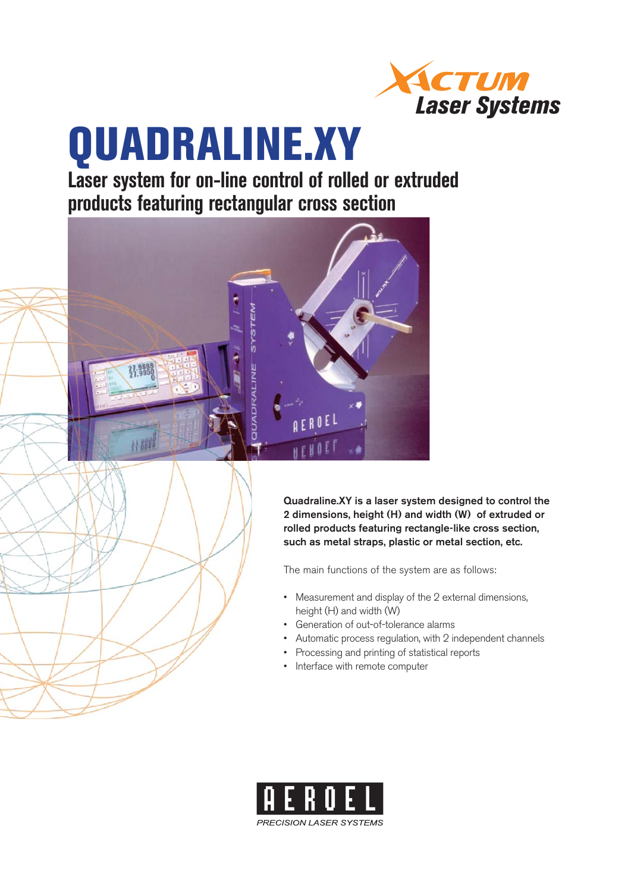

# **QUADRALINE.XY**

**Laser system for on-line control of rolled or extruded products featuring rectangular cross section**



**Quadraline.XY is a laser system designed to control the 2 dimensions, height (H) and width (W) of extruded or rolled products featuring rectangle-like cross section, such as metal straps, plastic or metal section, etc.**

The main functions of the system are as follows:

- Measurement and display of the 2 external dimensions, height (H) and width (W)
- Generation of out-of-tolerance alarms •
- Automatic process regulation, with 2 independent channels •
- Processing and printing of statistical reports
- Interface with remote computer

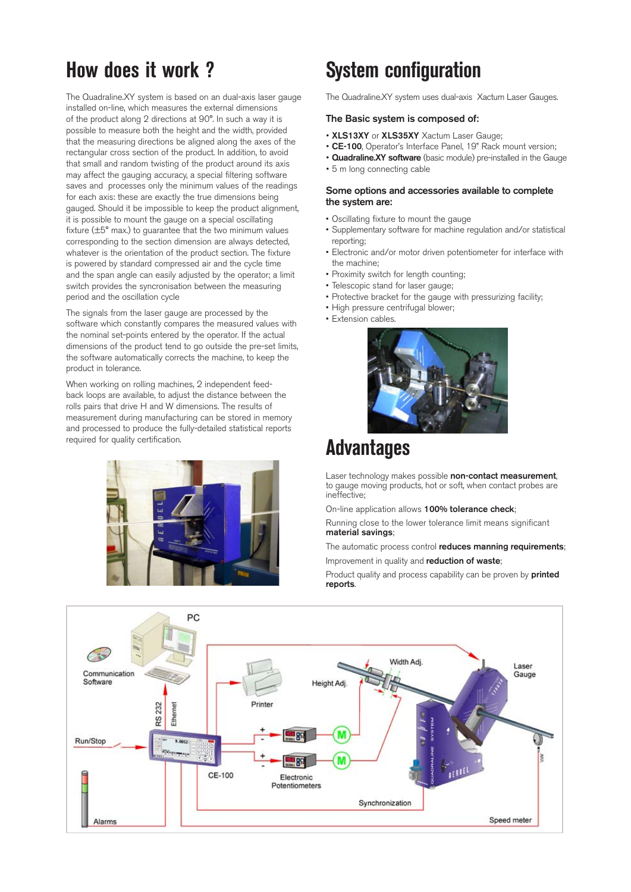### **How does it work ?**

The Quadraline.XY system is based on an dual-axis laser gauge installed on-line, which measures the external dimensions of the product along 2 directions at 90°. In such a way it is possible to measure both the height and the width, provided that the measuring directions be aligned along the axes of the rectangular cross section of the product. In addition, to avoid that small and random twisting of the product around its axis may affect the gauging accuracy, a special filtering software saves and processes only the minimum values of the readings for each axis: these are exactly the true dimensions being gauged. Should it be impossible to keep the product alignment, it is possible to mount the gauge on a special oscillating fixture  $(\pm 5^{\circ}$  max.) to guarantee that the two minimum values corresponding to the section dimension are always detected, whatever is the orientation of the product section. The fixture is powered by standard compressed air and the cycle time and the span angle can easily adjusted by the operator; a limit switch provides the syncronisation between the measuring period and the oscillation cycle

The signals from the laser gauge are processed by the software which constantly compares the measured values with the nominal set-points entered by the operator. If the actual dimensions of the product tend to go outside the pre-set limits, the software automatically corrects the machine, to keep the product in tolerance.

When working on rolling machines, 2 independent feedback loops are available, to adjust the distance between the rolls pairs that drive H and W dimensions. The results of measurement during manufacturing can be stored in memory and processed to produce the fully-detailed statistical reports required for quality certification.



# **System configuration**

The Quadraline.XY system uses dual-axis Xactum Laser Gauges.

#### **The Basic system is composed of:**

- **XLS13XY** or **XLS35XY** Xactum Laser Gauge;
- **CE-100**, Operator's Interface Panel, 19" Rack mount version;
- **Quadraline.XY software** (basic module) pre-installed in the Gauge
- 5 m long connecting cable

#### **Some options and accessories available to complete the system are:**

- Oscillating fixture to mount the gauge
- Supplementary software for machine regulation and/or statistical reporting;
- Electronic and/or motor driven potentiometer for interface with the machine;
- Proximity switch for length counting:
- Telescopic stand for laser gauge:
- Protective bracket for the gauge with pressurizing facility;
- High pressure centrifugal blower;
- Extension cables.



### **Advantages**

Laser technology makes possible **non-contact measurement**, to gauge moving products, hot or soft, when contact probes are ineffective;

On-line application allows **100% tolerance check**;

Running close to the lower tolerance limit means significant **material savings**;

The automatic process control **reduces manning requirements**; Improvement in quality and **reduction of waste**;

Product quality and process capability can be proven by **printed reports**.

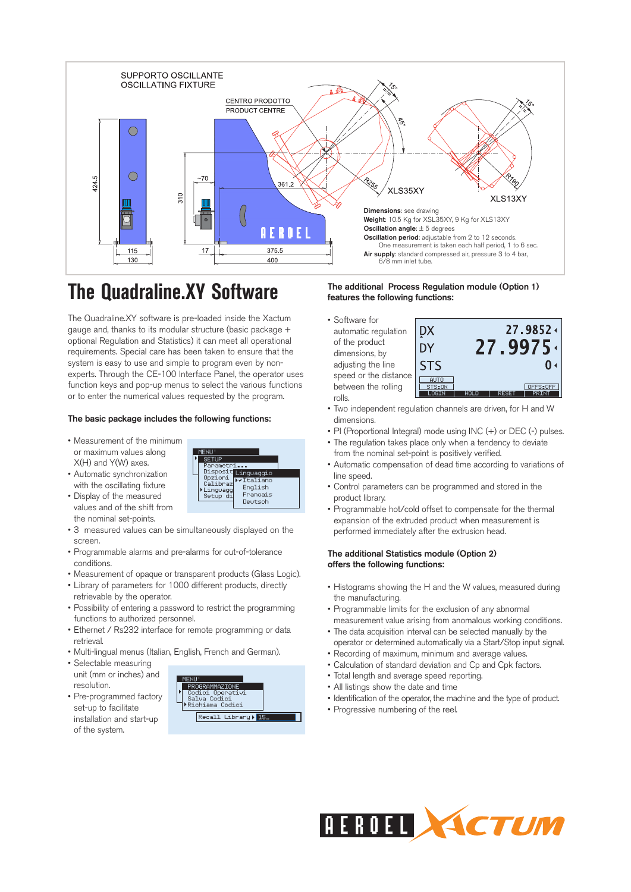

# **The Quadraline.XY Software**

The Quadraline.XY software is pre-loaded inside the Xactum gauge and, thanks to its modular structure (basic package + optional Regulation and Statistics) it can meet all operational requirements. Special care has been taken to ensure that the system is easy to use and simple to program even by nonexperts. Through the CE-100 Interface Panel, the operator uses function keys and pop-up menus to select the various functions or to enter the numerical values requested by the program.

> **SETUE** Disposi

Opzior<br>Calibr ioni

tup

ag<br>d:

Linguaggi

Francais

Deutsch

 $V$ Train English

#### **The basic package includes the following functions:**

- Measurement of the minimum or maximum values along X(H) and Y(W) axes.
- Automatic synchronization with the oscillating fixture
- Display of the measured values and of the shift from the nominal set-points.
- 3 measured values can be simultaneously displayed on the screen.
- Programmable alarms and pre-alarms for out-of-tolerance conditions.
- Measurement of opaque or transparent products (Glass Logic).
- Library of parameters for 1000 different products, directly
- retrievable by the operator. • Possibility of entering a password to restrict the programming functions to authorized personnel.
- Ethernet / Rs232 interface for remote programming or data retrieval.
- Multi-lingual menus (Italian, English, French and German).
- Selectable measuring unit (mm or inches) and
- resolution. • Pre-programmed factory set-up to facilitate installation and start-up of the system.



#### **The additional Process Regulation module (Option 1) features the following functions:**

• Software for automatic regulation of the product dimensions, by adjusting the line speed or the distance between the rolling rolls.



- Two independent regulation channels are driven, for H and W dimensions.
- PI (Proportional Integral) mode using INC (+) or DEC (-) pulses.
- The regulation takes place only when a tendency to deviate from the nominal set-point is positively verified.
- Automatic compensation of dead time according to variations of line speed.
- Control parameters can be programmed and stored in the product library.
- Programmable hot/cold offset to compensate for the thermal expansion of the extruded product when measurement is performed immediately after the extrusion head.

#### **The additional Statistics module (Option 2) offers the following functions:**

- Histograms showing the H and the W values, measured during the manufacturing.
- Programmable limits for the exclusion of any abnormal measurement value arising from anomalous working conditions.
- The data acquisition interval can be selected manually by the operator or determined automatically via a Start/Stop input signal.
- Recording of maximum, minimum and average values.
- Calculation of standard deviation and Cp and Cpk factors.
- Total length and average speed reporting.
- All listings show the date and time
- Identification of the operator, the machine and the type of product.
- Progressive numbering of the reel.